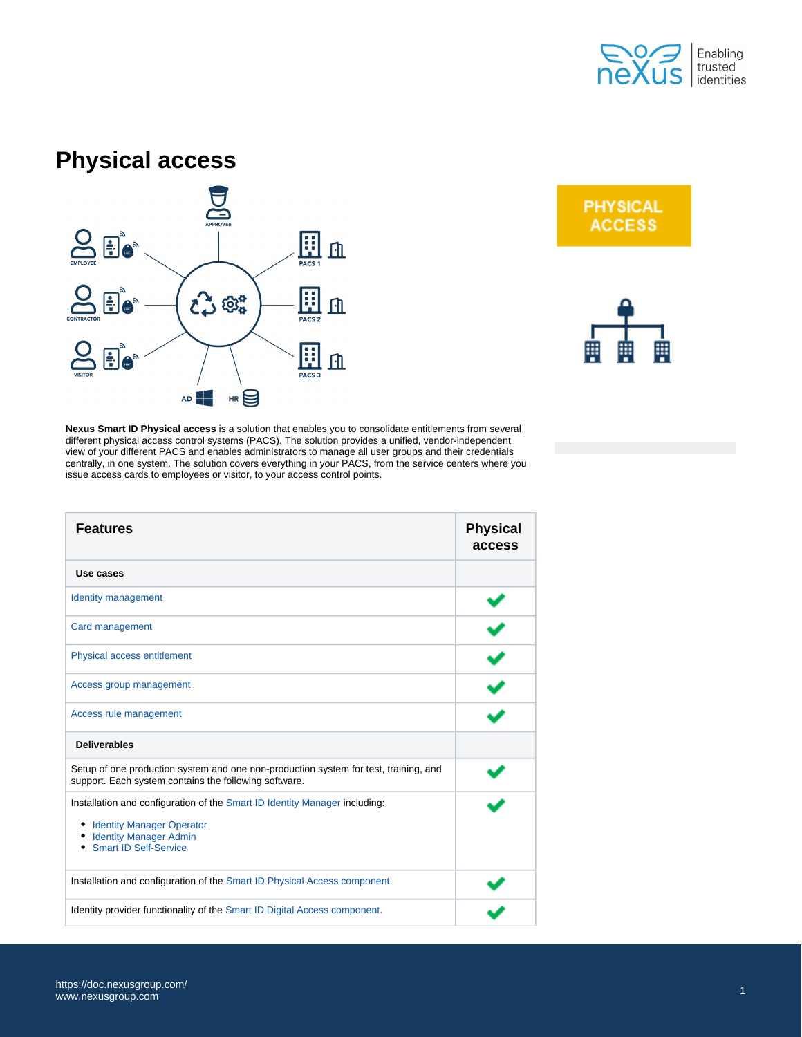

## **Physical access**



**PHYSICAL ACCESS** 



**Nexus Smart ID Physical access** is a solution that enables you to consolidate entitlements from several different physical access control systems (PACS). The solution provides a unified, vendor-independent view of your different PACS and enables administrators to manage all user groups and their credentials centrally, in one system. The solution covers everything in your PACS, from the service centers where you issue access cards to employees or visitor, to your access control points.

| <b>Features</b>                                                                                                                                                                 | <b>Physical</b><br>access |
|---------------------------------------------------------------------------------------------------------------------------------------------------------------------------------|---------------------------|
| Use cases                                                                                                                                                                       |                           |
| <b>Identity management</b>                                                                                                                                                      |                           |
| Card management                                                                                                                                                                 |                           |
| Physical access entitlement                                                                                                                                                     |                           |
| Access group management                                                                                                                                                         |                           |
| Access rule management                                                                                                                                                          |                           |
| <b>Deliverables</b>                                                                                                                                                             |                           |
| Setup of one production system and one non-production system for test, training, and<br>support. Each system contains the following software.                                   |                           |
| Installation and configuration of the Smart ID Identity Manager including:<br><b>Identity Manager Operator</b><br><b>Identity Manager Admin</b><br><b>Smart ID Self-Service</b> |                           |
| Installation and configuration of the Smart ID Physical Access component.                                                                                                       |                           |
| Identity provider functionality of the Smart ID Digital Access component.                                                                                                       |                           |